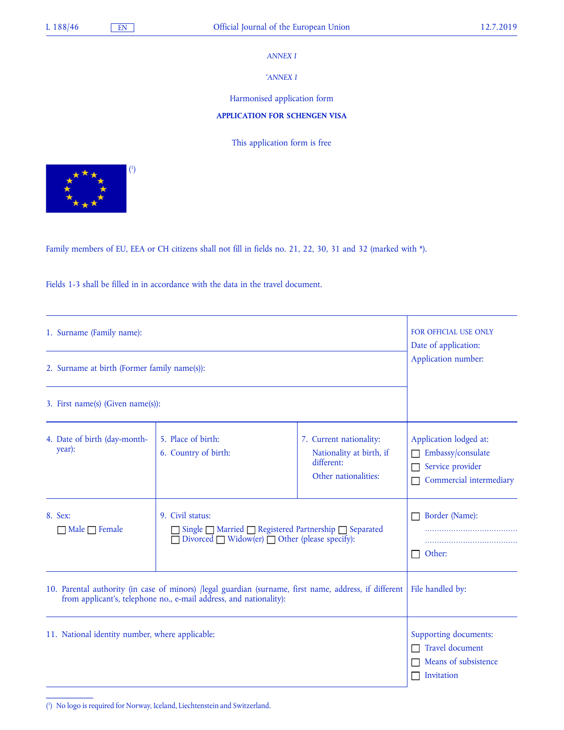## *ANNEX I*

'*ANNEX I* 

Harmonised application form

## **APPLICATION FOR SCHENGEN VISA**

This application form is free



Family members of EU, EEA or CH citizens shall not fill in fields no. 21, 22, 30, 31 and 32 (marked with \*).

Fields 1-3 shall be filled in in accordance with the data in the travel document.

| 1. Surname (Family name):                                                                                                                                                    | <b>FOR OFFICIAL USE ONLY</b><br>Date of application:                                                                                  |                                                                                           |                                                                                            |
|------------------------------------------------------------------------------------------------------------------------------------------------------------------------------|---------------------------------------------------------------------------------------------------------------------------------------|-------------------------------------------------------------------------------------------|--------------------------------------------------------------------------------------------|
| 2. Surname at birth (Former family name(s)):                                                                                                                                 | Application number:                                                                                                                   |                                                                                           |                                                                                            |
| 3. First name(s) (Given name(s)):                                                                                                                                            |                                                                                                                                       |                                                                                           |                                                                                            |
| 4. Date of birth (day-month-<br>year):                                                                                                                                       | 5. Place of birth:<br>6. Country of birth:                                                                                            | 7. Current nationality:<br>Nationality at birth, if<br>different:<br>Other nationalities: | Application lodged at:<br>Embassy/consulate<br>Service provider<br>Commercial intermediary |
| 8. Sex:<br>Male $\Box$ Female                                                                                                                                                | 9. Civil status:<br>Single □ Married □ Registered Partnership □ Separated<br>Divorced $\Box$ Widow(er) $\Box$ Other (please specify): |                                                                                           | Border (Name):<br>Other:                                                                   |
| 10. Parental authority (in case of minors) /legal guardian (surname, first name, address, if different<br>from applicant's, telephone no., e-mail address, and nationality): | File handled by:                                                                                                                      |                                                                                           |                                                                                            |
| 11. National identity number, where applicable:                                                                                                                              | Supporting documents:<br>Travel document<br>Means of subsistence<br>Invitation                                                        |                                                                                           |                                                                                            |

( 1 ) No logo is required for Norway, Iceland, Liechtenstein and Switzerland.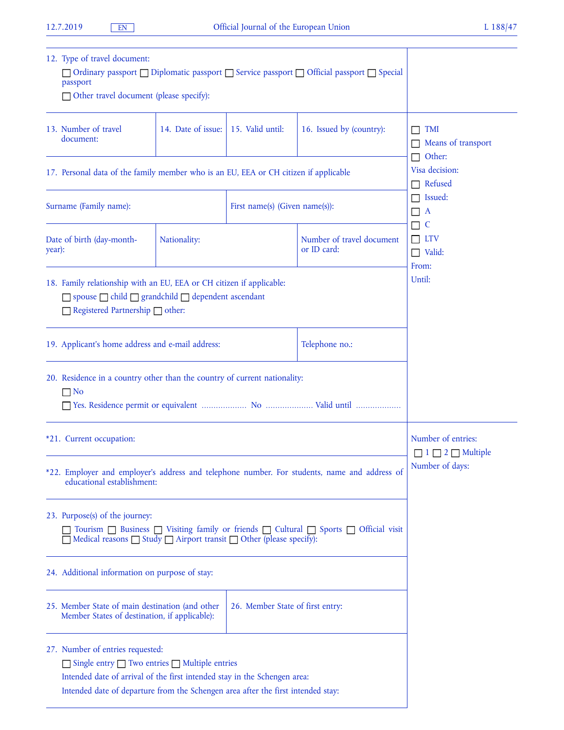| 12. Type of travel document:<br>□ Ordinary passport □ Diplomatic passport □ Service passport □ Official passport □ Special<br>passport<br>□ Other travel document (please specify):                          |                                                                                                                                                                                                                                                      |                                |                                  |                                          |                                                         |  |
|--------------------------------------------------------------------------------------------------------------------------------------------------------------------------------------------------------------|------------------------------------------------------------------------------------------------------------------------------------------------------------------------------------------------------------------------------------------------------|--------------------------------|----------------------------------|------------------------------------------|---------------------------------------------------------|--|
|                                                                                                                                                                                                              | 13. Number of travel<br>document:                                                                                                                                                                                                                    | 14. Date of issue:             | 15. Valid until:                 | 16. Issued by (country):                 | <b>TMI</b><br>Means of transport                        |  |
| 17. Personal data of the family member who is an EU, EEA or CH citizen if applicable                                                                                                                         |                                                                                                                                                                                                                                                      |                                |                                  |                                          | Other:<br>Visa decision:<br>Refused                     |  |
| Surname (Family name):                                                                                                                                                                                       |                                                                                                                                                                                                                                                      | First name(s) (Given name(s)): |                                  | Issued:<br>$\mathbf{A}$                  |                                                         |  |
| year):                                                                                                                                                                                                       | Date of birth (day-month-                                                                                                                                                                                                                            | Nationality:                   |                                  | Number of travel document<br>or ID card: | C<br><b>LTV</b><br>$\Box$ Valid:                        |  |
| 18. Family relationship with an EU, EEA or CH citizen if applicable:<br>□ spouse □ child □ grandchild □ dependent ascendant<br>Registered Partnership other:                                                 |                                                                                                                                                                                                                                                      |                                |                                  |                                          | From:<br>Until:                                         |  |
|                                                                                                                                                                                                              | 19. Applicant's home address and e-mail address:                                                                                                                                                                                                     |                                |                                  | Telephone no.:                           |                                                         |  |
| 20. Residence in a country other than the country of current nationality:<br>$\Box$ No                                                                                                                       |                                                                                                                                                                                                                                                      |                                |                                  |                                          |                                                         |  |
| *21. Current occupation:                                                                                                                                                                                     |                                                                                                                                                                                                                                                      |                                |                                  |                                          | Number of entries:<br>$\Box$ 1 $\Box$ 2 $\Box$ Multiple |  |
|                                                                                                                                                                                                              | *22. Employer and employer's address and telephone number. For students, name and address of<br>educational establishment:                                                                                                                           | Number of days:                |                                  |                                          |                                                         |  |
| 23. Purpose(s) of the journey:<br>Tourism □ Business □ Visiting family or friends □ Cultural □ Sports □ Official visit<br>Medical reasons $\Box$ Study $\Box$ Airport transit $\Box$ Other (please specify): |                                                                                                                                                                                                                                                      |                                |                                  |                                          |                                                         |  |
| 24. Additional information on purpose of stay:                                                                                                                                                               |                                                                                                                                                                                                                                                      |                                |                                  |                                          |                                                         |  |
|                                                                                                                                                                                                              | 25. Member State of main destination (and other<br>Member States of destination, if applicable):                                                                                                                                                     |                                | 26. Member State of first entry: |                                          |                                                         |  |
|                                                                                                                                                                                                              | 27. Number of entries requested:<br>□ Single entry □ Two entries □ Multiple entries<br>Intended date of arrival of the first intended stay in the Schengen area:<br>Intended date of departure from the Schengen area after the first intended stay: |                                |                                  |                                          |                                                         |  |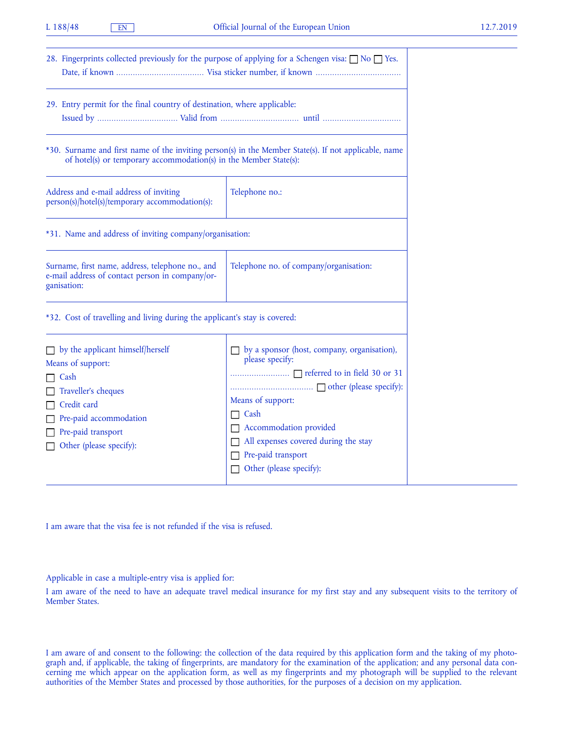| 28. Fingerprints collected previously for the purpose of applying for a Schengen visa: $\Box$ No $\Box$ Yes.                                                                   |                                                                                                                                                                                                                |
|--------------------------------------------------------------------------------------------------------------------------------------------------------------------------------|----------------------------------------------------------------------------------------------------------------------------------------------------------------------------------------------------------------|
| 29. Entry permit for the final country of destination, where applicable:                                                                                                       |                                                                                                                                                                                                                |
| *30. Surname and first name of the inviting person(s) in the Member State(s). If not applicable, name<br>of hotel(s) or temporary accommodation(s) in the Member State(s):     |                                                                                                                                                                                                                |
| Address and e-mail address of inviting<br>person(s)/hotel(s)/temporary accommodation(s):                                                                                       | Telephone no.:                                                                                                                                                                                                 |
| *31. Name and address of inviting company/organisation:                                                                                                                        |                                                                                                                                                                                                                |
| Surname, first name, address, telephone no., and<br>e-mail address of contact person in company/or-<br>ganisation:                                                             | Telephone no. of company/organisation:                                                                                                                                                                         |
| *32. Cost of travelling and living during the applicant's stay is covered:                                                                                                     |                                                                                                                                                                                                                |
| by the applicant himself/herself<br>Means of support:<br>Cash<br>Traveller's cheques<br>Credit card<br>Pre-paid accommodation<br>Pre-paid transport<br>Other (please specify): | by a sponsor (host, company, organisation),<br>please specify:<br>Means of support:<br>Cash<br>Accommodation provided<br>All expenses covered during the stay<br>Pre-paid transport<br>Other (please specify): |

I am aware that the visa fee is not refunded if the visa is refused.

Applicable in case a multiple-entry visa is applied for:

I am aware of the need to have an adequate travel medical insurance for my first stay and any subsequent visits to the territory of Member States.

I am aware of and consent to the following: the collection of the data required by this application form and the taking of my photograph and, if applicable, the taking of fingerprints, are mandatory for the examination of the application; and any personal data concerning me which appear on the application form, as well as my fingerprints and my photograph will be supplied to the relevant authorities of the Member States and processed by those authorities, for the purposes of a decision on my application.